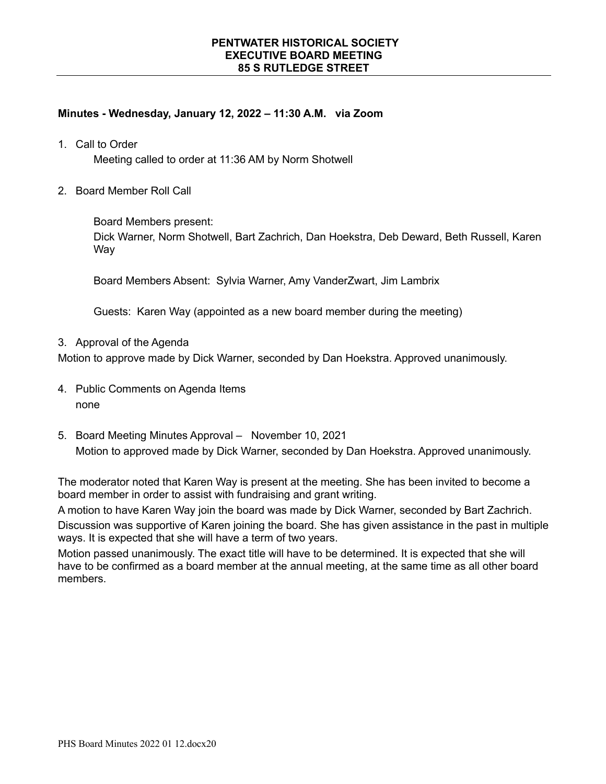# **Minutes - Wednesday, January 12, 2022 – 11:30 A.M. via Zoom**

1. Call to Order

Meeting called to order at 11:36 AM by Norm Shotwell

2. Board Member Roll Call

Board Members present:

Dick Warner, Norm Shotwell, Bart Zachrich, Dan Hoekstra, Deb Deward, Beth Russell, Karen **Way** 

Board Members Absent: Sylvia Warner, Amy VanderZwart, Jim Lambrix

Guests: Karen Way (appointed as a new board member during the meeting)

3. Approval of the Agenda

Motion to approve made by Dick Warner, seconded by Dan Hoekstra. Approved unanimously.

- 4. Public Comments on Agenda Items none
- 5. Board Meeting Minutes Approval November 10, 2021 Motion to approved made by Dick Warner, seconded by Dan Hoekstra. Approved unanimously.

The moderator noted that Karen Way is present at the meeting. She has been invited to become a board member in order to assist with fundraising and grant writing.

A motion to have Karen Way join the board was made by Dick Warner, seconded by Bart Zachrich. Discussion was supportive of Karen joining the board. She has given assistance in the past in multiple ways. It is expected that she will have a term of two years.

Motion passed unanimously. The exact title will have to be determined. It is expected that she will have to be confirmed as a board member at the annual meeting, at the same time as all other board members.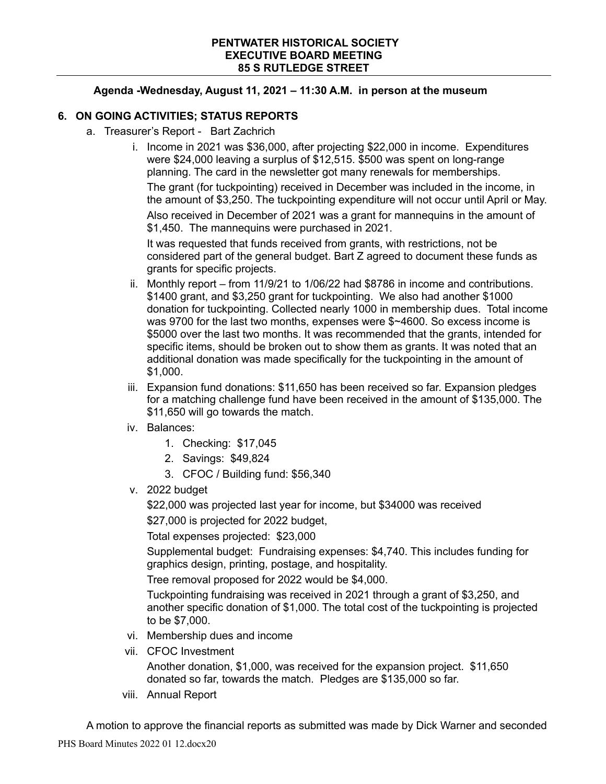## **Agenda -Wednesday, August 11, 2021 – 11:30 A.M. in person at the museum**

## **6. ON GOING ACTIVITIES; STATUS REPORTS**

- a. Treasurer's Report Bart Zachrich
	- i. Income in 2021 was \$36,000, after projecting \$22,000 in income. Expenditures were \$24,000 leaving a surplus of \$12,515. \$500 was spent on long-range planning. The card in the newsletter got many renewals for memberships.

The grant (for tuckpointing) received in December was included in the income, in the amount of \$3,250. The tuckpointing expenditure will not occur until April or May. Also received in December of 2021 was a grant for mannequins in the amount of \$1,450. The mannequins were purchased in 2021.

It was requested that funds received from grants, with restrictions, not be considered part of the general budget. Bart Z agreed to document these funds as grants for specific projects.

- ii. Monthly report from 11/9/21 to 1/06/22 had \$8786 in income and contributions. \$1400 grant, and \$3,250 grant for tuckpointing. We also had another \$1000 donation for tuckpointing. Collected nearly 1000 in membership dues. Total income was 9700 for the last two months, expenses were \$~4600. So excess income is \$5000 over the last two months. It was recommended that the grants, intended for specific items, should be broken out to show them as grants. It was noted that an additional donation was made specifically for the tuckpointing in the amount of \$1,000.
- iii. Expansion fund donations: \$11,650 has been received so far. Expansion pledges for a matching challenge fund have been received in the amount of \$135,000. The \$11,650 will go towards the match.
- iv. Balances:
	- 1. Checking: \$17,045
	- 2. Savings: \$49,824
	- 3. CFOC / Building fund: \$56,340
- v. 2022 budget

\$22,000 was projected last year for income, but \$34000 was received

\$27,000 is projected for 2022 budget,

Total expenses projected: \$23,000

Supplemental budget: Fundraising expenses: \$4,740. This includes funding for graphics design, printing, postage, and hospitality.

Tree removal proposed for 2022 would be \$4,000.

Tuckpointing fundraising was received in 2021 through a grant of \$3,250, and another specific donation of \$1,000. The total cost of the tuckpointing is projected to be \$7,000.

- vi. Membership dues and income
- vii. CFOC Investment

Another donation, \$1,000, was received for the expansion project. \$11,650 donated so far, towards the match. Pledges are \$135,000 so far.

viii. Annual Report

A motion to approve the financial reports as submitted was made by Dick Warner and seconded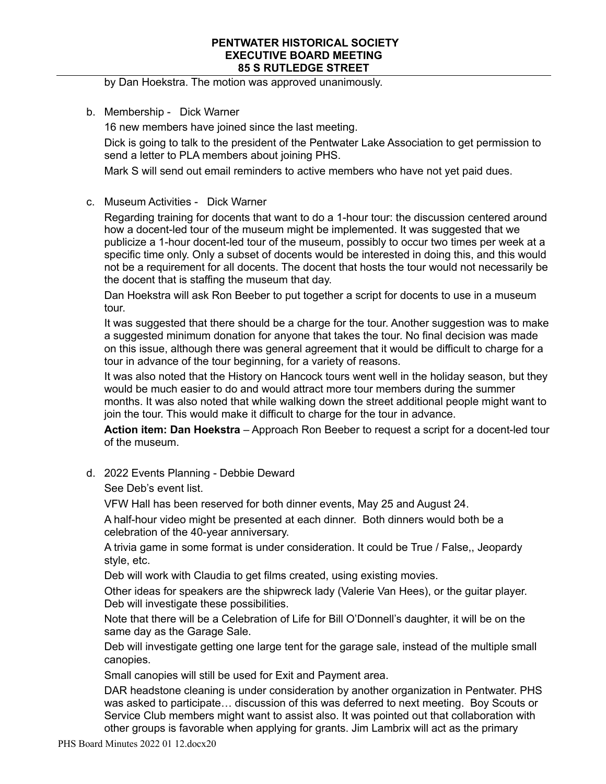by Dan Hoekstra. The motion was approved unanimously.

b. Membership - Dick Warner

16 new members have joined since the last meeting.

Dick is going to talk to the president of the Pentwater Lake Association to get permission to send a letter to PLA members about joining PHS.

Mark S will send out email reminders to active members who have not yet paid dues.

c. Museum Activities - Dick Warner

Regarding training for docents that want to do a 1-hour tour: the discussion centered around how a docent-led tour of the museum might be implemented. It was suggested that we publicize a 1-hour docent-led tour of the museum, possibly to occur two times per week at a specific time only. Only a subset of docents would be interested in doing this, and this would not be a requirement for all docents. The docent that hosts the tour would not necessarily be the docent that is staffing the museum that day.

Dan Hoekstra will ask Ron Beeber to put together a script for docents to use in a museum tour.

It was suggested that there should be a charge for the tour. Another suggestion was to make a suggested minimum donation for anyone that takes the tour. No final decision was made on this issue, although there was general agreement that it would be difficult to charge for a tour in advance of the tour beginning, for a variety of reasons.

It was also noted that the History on Hancock tours went well in the holiday season, but they would be much easier to do and would attract more tour members during the summer months. It was also noted that while walking down the street additional people might want to join the tour. This would make it difficult to charge for the tour in advance.

**Action item: Dan Hoekstra** – Approach Ron Beeber to request a script for a docent-led tour of the museum.

d. 2022 Events Planning - Debbie Deward

See Deb's event list.

VFW Hall has been reserved for both dinner events, May 25 and August 24.

A half-hour video might be presented at each dinner. Both dinners would both be a celebration of the 40-year anniversary.

A trivia game in some format is under consideration. It could be True / False,, Jeopardy style, etc.

Deb will work with Claudia to get films created, using existing movies.

Other ideas for speakers are the shipwreck lady (Valerie Van Hees), or the guitar player. Deb will investigate these possibilities.

Note that there will be a Celebration of Life for Bill O'Donnell's daughter, it will be on the same day as the Garage Sale.

Deb will investigate getting one large tent for the garage sale, instead of the multiple small canopies.

Small canopies will still be used for Exit and Payment area.

DAR headstone cleaning is under consideration by another organization in Pentwater. PHS was asked to participate… discussion of this was deferred to next meeting. Boy Scouts or Service Club members might want to assist also. It was pointed out that collaboration with other groups is favorable when applying for grants. Jim Lambrix will act as the primary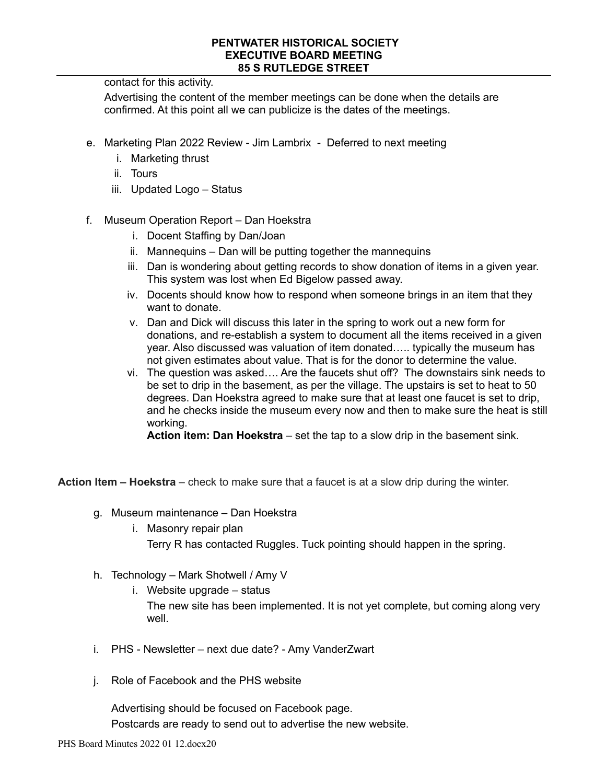contact for this activity.

Advertising the content of the member meetings can be done when the details are confirmed. At this point all we can publicize is the dates of the meetings.

- e. Marketing Plan 2022 Review Jim Lambrix Deferred to next meeting
	- i. Marketing thrust
	- ii. Tours
	- iii. Updated Logo Status
- f. Museum Operation Report Dan Hoekstra
	- i. Docent Staffing by Dan/Joan
	- ii. Mannequins Dan will be putting together the mannequins
	- iii. Dan is wondering about getting records to show donation of items in a given year. This system was lost when Ed Bigelow passed away.
	- iv. Docents should know how to respond when someone brings in an item that they want to donate.
	- v. Dan and Dick will discuss this later in the spring to work out a new form for donations, and re-establish a system to document all the items received in a given year. Also discussed was valuation of item donated….. typically the museum has not given estimates about value. That is for the donor to determine the value.
	- vi. The question was asked…. Are the faucets shut off? The downstairs sink needs to be set to drip in the basement, as per the village. The upstairs is set to heat to 50 degrees. Dan Hoekstra agreed to make sure that at least one faucet is set to drip, and he checks inside the museum every now and then to make sure the heat is still working.

**Action item: Dan Hoekstra** – set the tap to a slow drip in the basement sink.

**Action Item – Hoekstra** – check to make sure that a faucet is at a slow drip during the winter.

- g. Museum maintenance Dan Hoekstra
	- i. Masonry repair plan Terry R has contacted Ruggles. Tuck pointing should happen in the spring.
- h. Technology Mark Shotwell / Amy V
	- i. Website upgrade status

The new site has been implemented. It is not yet complete, but coming along very well.

- i. PHS Newsletter next due date? Amy VanderZwart
- j. Role of Facebook and the PHS website

Advertising should be focused on Facebook page. Postcards are ready to send out to advertise the new website.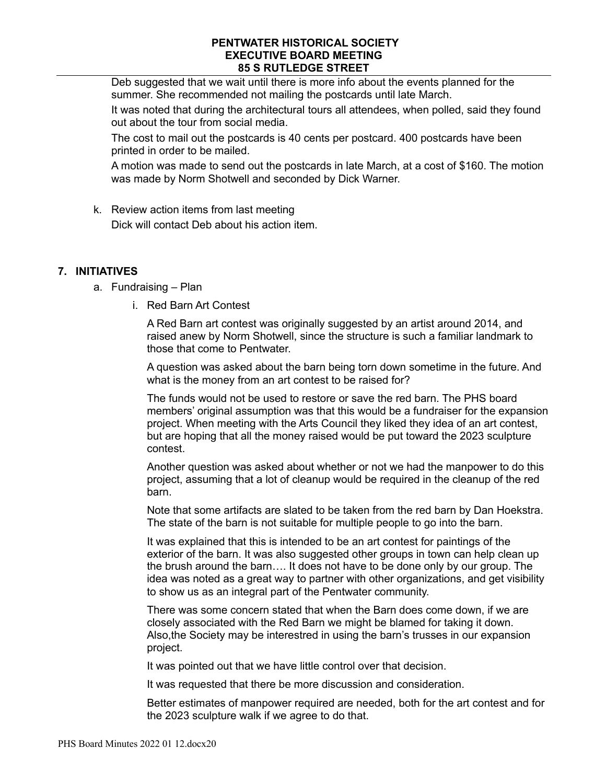Deb suggested that we wait until there is more info about the events planned for the summer. She recommended not mailing the postcards until late March.

It was noted that during the architectural tours all attendees, when polled, said they found out about the tour from social media.

The cost to mail out the postcards is 40 cents per postcard. 400 postcards have been printed in order to be mailed.

A motion was made to send out the postcards in late March, at a cost of \$160. The motion was made by Norm Shotwell and seconded by Dick Warner.

k. Review action items from last meeting Dick will contact Deb about his action item.

# **7. INITIATIVES**

- a. Fundraising Plan
	- i. Red Barn Art Contest

A Red Barn art contest was originally suggested by an artist around 2014, and raised anew by Norm Shotwell, since the structure is such a familiar landmark to those that come to Pentwater.

A question was asked about the barn being torn down sometime in the future. And what is the money from an art contest to be raised for?

The funds would not be used to restore or save the red barn. The PHS board members' original assumption was that this would be a fundraiser for the expansion project. When meeting with the Arts Council they liked they idea of an art contest, but are hoping that all the money raised would be put toward the 2023 sculpture contest.

Another question was asked about whether or not we had the manpower to do this project, assuming that a lot of cleanup would be required in the cleanup of the red barn.

Note that some artifacts are slated to be taken from the red barn by Dan Hoekstra. The state of the barn is not suitable for multiple people to go into the barn.

It was explained that this is intended to be an art contest for paintings of the exterior of the barn. It was also suggested other groups in town can help clean up the brush around the barn…. It does not have to be done only by our group. The idea was noted as a great way to partner with other organizations, and get visibility to show us as an integral part of the Pentwater community.

There was some concern stated that when the Barn does come down, if we are closely associated with the Red Barn we might be blamed for taking it down. Also,the Society may be interestred in using the barn's trusses in our expansion project.

It was pointed out that we have little control over that decision.

It was requested that there be more discussion and consideration.

Better estimates of manpower required are needed, both for the art contest and for the 2023 sculpture walk if we agree to do that.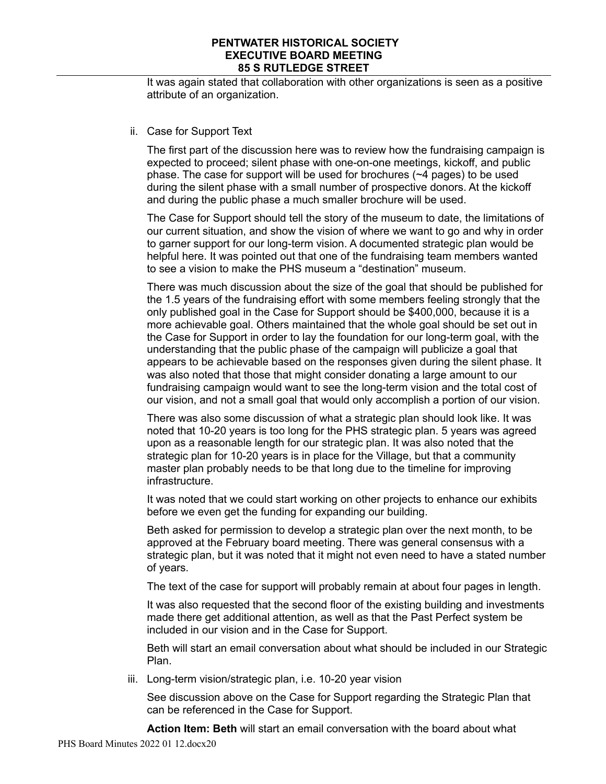It was again stated that collaboration with other organizations is seen as a positive attribute of an organization.

## ii. Case for Support Text

The first part of the discussion here was to review how the fundraising campaign is expected to proceed; silent phase with one-on-one meetings, kickoff, and public phase. The case for support will be used for brochures (~4 pages) to be used during the silent phase with a small number of prospective donors. At the kickoff and during the public phase a much smaller brochure will be used.

The Case for Support should tell the story of the museum to date, the limitations of our current situation, and show the vision of where we want to go and why in order to garner support for our long-term vision. A documented strategic plan would be helpful here. It was pointed out that one of the fundraising team members wanted to see a vision to make the PHS museum a "destination" museum.

There was much discussion about the size of the goal that should be published for the 1.5 years of the fundraising effort with some members feeling strongly that the only published goal in the Case for Support should be \$400,000, because it is a more achievable goal. Others maintained that the whole goal should be set out in the Case for Support in order to lay the foundation for our long-term goal, with the understanding that the public phase of the campaign will publicize a goal that appears to be achievable based on the responses given during the silent phase. It was also noted that those that might consider donating a large amount to our fundraising campaign would want to see the long-term vision and the total cost of our vision, and not a small goal that would only accomplish a portion of our vision.

There was also some discussion of what a strategic plan should look like. It was noted that 10-20 years is too long for the PHS strategic plan. 5 years was agreed upon as a reasonable length for our strategic plan. It was also noted that the strategic plan for 10-20 years is in place for the Village, but that a community master plan probably needs to be that long due to the timeline for improving infrastructure.

It was noted that we could start working on other projects to enhance our exhibits before we even get the funding for expanding our building.

Beth asked for permission to develop a strategic plan over the next month, to be approved at the February board meeting. There was general consensus with a strategic plan, but it was noted that it might not even need to have a stated number of years.

The text of the case for support will probably remain at about four pages in length.

It was also requested that the second floor of the existing building and investments made there get additional attention, as well as that the Past Perfect system be included in our vision and in the Case for Support.

Beth will start an email conversation about what should be included in our Strategic Plan.

iii. Long-term vision/strategic plan, i.e. 10-20 year vision

See discussion above on the Case for Support regarding the Strategic Plan that can be referenced in the Case for Support.

**Action Item: Beth** will start an email conversation with the board about what